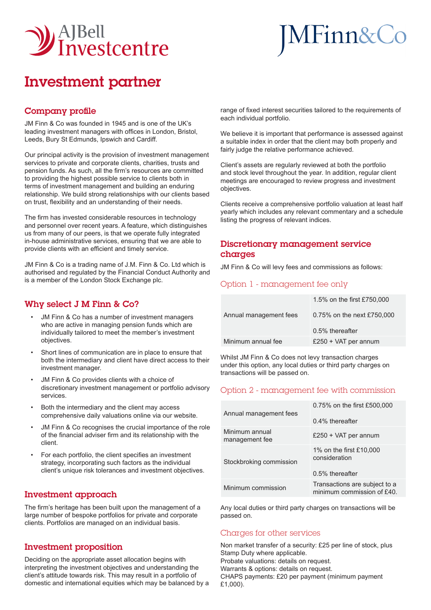

# MFinn&Co

## Investment partner

#### Company profile

JM Finn & Co was founded in 1945 and is one of the UK's leading investment managers with offices in London, Bristol, Leeds, Bury St Edmunds, Ipswich and Cardiff.

Our principal activity is the provision of investment management services to private and corporate clients, charities, trusts and pension funds. As such, all the firm's resources are committed to providing the highest possible service to clients both in terms of investment management and building an enduring relationship. We build strong relationships with our clients based on trust, flexibility and an understanding of their needs.

The firm has invested considerable resources in technology and personnel over recent years. A feature, which distinguishes us from many of our peers, is that we operate fully integrated in-house administrative services, ensuring that we are able to provide clients with an efficient and timely service.

JM Finn & Co is a trading name of J.M. Finn & Co. Ltd which is authorised and regulated by the Financial Conduct Authority and is a member of the London Stock Exchange plc.

### Why select J M Finn & Co?

- JM Finn & Co has a number of investment managers who are active in managing pension funds which are individually tailored to meet the member's investment objectives.
- Short lines of communication are in place to ensure that both the intermediary and client have direct access to their investment manager.
- JM Finn & Co provides clients with a choice of discretionary investment management or portfolio advisory services.
- Both the intermediary and the client may access comprehensive daily valuations online via our website.
- JM Finn & Co recognises the crucial importance of the role of the financial adviser firm and its relationship with the client.
- For each portfolio, the client specifies an investment strategy, incorporating such factors as the individual client's unique risk tolerances and investment objectives.

#### Investment approach

The firm's heritage has been built upon the management of a large number of bespoke portfolios for private and corporate clients. Portfolios are managed on an individual basis.

#### Investment proposition

Deciding on the appropriate asset allocation begins with interpreting the investment objectives and understanding the client's attitude towards risk. This may result in a portfolio of domestic and international equities which may be balanced by a

range of fixed interest securities tailored to the requirements of each individual portfolio.

We believe it is important that performance is assessed against a suitable index in order that the client may both properly and fairly judge the relative performance achieved.

Client's assets are regularly reviewed at both the portfolio and stock level throughout the year. In addition, regular client meetings are encouraged to review progress and investment objectives.

Clients receive a comprehensive portfolio valuation at least half yearly which includes any relevant commentary and a schedule listing the progress of relevant indices.

#### Discretionary management service charges

JM Finn & Co will levy fees and commissions as follows:

#### Option 1 - management fee only

|                        | 1.5% on the first £750,000 |
|------------------------|----------------------------|
| Annual management fees | 0.75% on the next £750,000 |
|                        | 0.5% thereafter            |
| Minimum annual fee     | £250 + VAT per annum       |

Whilst JM Finn & Co does not levy transaction charges under this option, any local duties or third party charges on transactions will be passed on.

#### Option 2 - management fee with commission

| Annual management fees           | 0.75% on the first £500,000<br>$0.4\%$ thereafter             |
|----------------------------------|---------------------------------------------------------------|
| Minimum annual<br>management fee | £250 + VAT per annum                                          |
| Stockbroking commission          | 1% on the first £10,000<br>consideration<br>$0.5%$ thereafter |
| Minimum commission               | Transactions are subject to a<br>minimum commission of £40.   |

Any local duties or third party charges on transactions will be passed on.

#### Charges for other services

Non market transfer of a security: £25 per line of stock, plus Stamp Duty where applicable. Probate valuations: details on request. Warrants & options: details on request. CHAPS payments: £20 per payment (minimum payment £1,000).